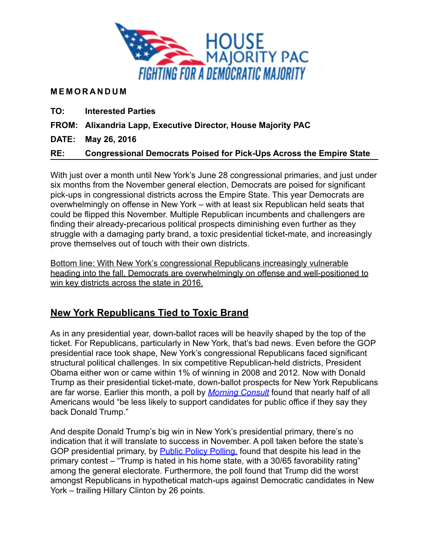

#### **MEMORANDUM**

**TO: Interested Parties** 

**FROM: Alixandria Lapp, Executive Director, House Majority PAC** 

**DATE: May 26, 2016** 

#### **RE: Congressional Democrats Poised for Pick-Ups Across the Empire State**

With just over a month until New York's June 28 congressional primaries, and just under six months from the November general election, Democrats are poised for significant pick-ups in congressional districts across the Empire State. This year Democrats are overwhelmingly on offense in New York – with at least six Republican held seats that could be flipped this November. Multiple Republican incumbents and challengers are finding their already-precarious political prospects diminishing even further as they struggle with a damaging party brand, a toxic presidential ticket-mate, and increasingly prove themselves out of touch with their own districts.

Bottom line: With New York's congressional Republicans increasingly vulnerable heading into the fall, Democrats are overwhelmingly on offense and well-positioned to win key districts across the state in 2016.

# **New York Republicans Tied to Toxic Brand**

As in any presidential year, down-ballot races will be heavily shaped by the top of the ticket. For Republicans, particularly in New York, that's bad news. Even before the GOP presidential race took shape, New York's congressional Republicans faced significant structural political challenges. In six competitive Republican-held districts, President Obama either won or came within 1% of winning in 2008 and 2012. Now with Donald Trump as their presidential ticket-mate, down-ballot prospects for New York Republicans are far worse. Earlier this month, a poll by *[Morning Consult](https://morningconsult.com/2016/05/10/poll-voters-less-likely-to-support-candidates-who-back-trump/)* found that nearly half of all Americans would "be less likely to support candidates for public office if they say they back Donald Trump."

And despite Donald Trump's big win in New York's presidential primary, there's no indication that it will translate to success in November. A poll taken before the state's GOP presidential primary, by [Public Policy Polling,](http://www.publicpolicypolling.com/main/new-york/) found that despite his lead in the primary contest – "Trump is hated in his home state, with a 30/65 favorability rating" among the general electorate. Furthermore, the poll found that Trump did the worst amongst Republicans in hypothetical match-ups against Democratic candidates in New York – trailing Hillary Clinton by 26 points.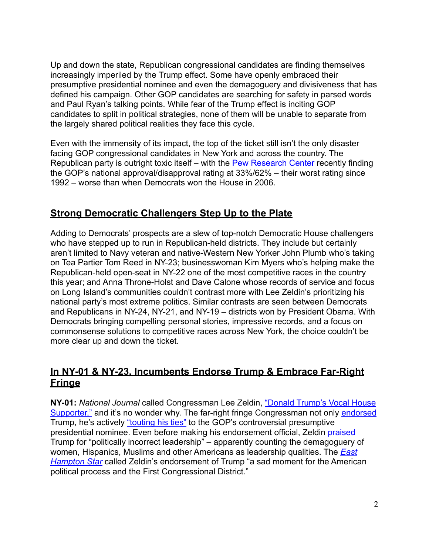Up and down the state, Republican congressional candidates are finding themselves increasingly imperiled by the Trump effect. Some have openly embraced their presumptive presidential nominee and even the demagoguery and divisiveness that has defined his campaign. Other GOP candidates are searching for safety in parsed words and Paul Ryan's talking points. While fear of the Trump effect is inciting GOP candidates to split in political strategies, none of them will be unable to separate from the largely shared political realities they face this cycle.

Even with the immensity of its impact, the top of the ticket still isn't the only disaster facing GOP congressional candidates in New York and across the country. The Republican party is outright toxic itself – with the [Pew Research Center](http://www.politico.com/story/2016/04/poll-republican-disapproval-222586) recently finding the GOP's national approval/disapproval rating at 33%/62% – their worst rating since 1992 – worse than when Democrats won the House in 2006.

#### **Strong Democratic Challengers Step Up to the Plate**

Adding to Democrats' prospects are a slew of top-notch Democratic House challengers who have stepped up to run in Republican-held districts. They include but certainly aren't limited to Navy veteran and native-Western New Yorker John Plumb who's taking on Tea Partier Tom Reed in NY-23; businesswoman Kim Myers who's helping make the Republican-held open-seat in NY-22 one of the most competitive races in the country this year; and Anna Throne-Holst and Dave Calone whose records of service and focus on Long Island's communities couldn't contrast more with Lee Zeldin's prioritizing his national party's most extreme politics. Similar contrasts are seen between Democrats and Republicans in NY-24, NY-21, and NY-19 – districts won by President Obama. With Democrats bringing compelling personal stories, impressive records, and a focus on commonsense solutions to competitive races across New York, the choice couldn't be more clear up and down the ticket.

#### **In NY-01 & NY-23, Incumbents Endorse Trump & Embrace Far-Right Fringe**

**NY-01:** *National Journal* called Congressman Lee Zeldin, "Donald Trump's Vocal House [Supporter," and it's no wonder why. The far-right fringe Congressman not only endorsed](https://www.nationaljournal.com/s/626196?mref=search-result) Trump, he's actively ["touting his ties"](http://www.newsday.com/long-island/politics/lee-zeldin-promotes-donald-trump-and-their-shared-history-1.11774239) to the GOP's controversial presumptive presidential nominee. Even before making his endorsement official, Zeldin [praised](http://abcnews.go.com/Politics/donald-trump-finds-praise-capitol-hill-gop-endorsements/story?id=33657322) Trump for "politically incorrect leadership" – apparently counting the demagoguery of [women, Hispanics, Muslims and other Americans as leadership qualities. The](http://easthamptonstar.com/Editorials/2016519/Jumped-Trump) *East Hampton Star* called Zeldin's endorsement of Trump "a sad moment for the American political process and the First Congressional District."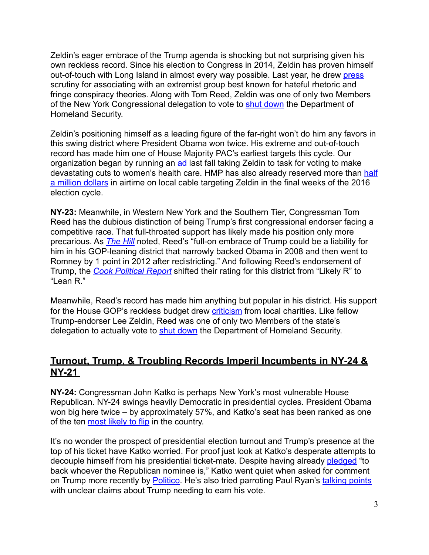Zeldin's eager embrace of the Trump agenda is shocking but not surprising given his own reckless record. Since his election to Congress in 2014, Zeldin has proven himself out-of-touch with Long Island in almost every way possible. Last year, he drew [press](http://www.msnbc.com/rachel-maddow-show/the-company-elected-officials-keep) scrutiny for associating with an extremist group best known for hateful rhetoric and fringe conspiracy theories. Along with Tom Reed, Zeldin was one of only two Members of the New York Congressional delegation to vote to [shut down](http://www.nydailynews.com/blogs/dc/democrats-target-zeldin-dhs-shutdown-vote-blog-entry-1.2136653) the Department of Homeland Security.

Zeldin's positioning himself as a leading figure of the far-right won't do him any favors in this swing district where President Obama won twice. His extreme and out-of-touch record has made him one of House Majority PAC's earliest targets this cycle. Our organization began by running an [ad](https://www.youtube.com/watch?v=wG60YWoDZg4) last fall taking Zeldin to task for voting to make devastating cuts to women's health care. HMP has also already reserved more than half a million dollars in airtime on local cable targeting Zeldin in the final weeks of the 2016 election cycle.

**NY-23:** Meanwhile, in Western New York and the Southern Tier, Congressman Tom Reed has the dubious distinction of being Trump's first congressional endorser facing a competitive race. That full-throated support has likely made his position only more precarious. As *[The Hill](http://thehill.com/homenews/campaign/274952-ten-house-seats-dems-hope-trump-will-tilt)* noted, Reed's "full-on embrace of Trump could be a liability for him in his GOP-leaning district that narrowly backed Obama in 2008 and then went to Romney by 1 point in 2012 after redistricting." And following Reed's endorsement of Trump, the *[Cook Political Report](http://cookpolitical.com/story/9382)* shifted their rating for this district from "Likely R" to "Lean R."

Meanwhile, Reed's record has made him anything but popular in his district. His support for the House GOP's reckless budget drew [criticism](http://www.the-leader.com/article/20150423/NEWS/150429807) from local charities. Like fellow Trump-endorser Lee Zeldin, Reed was one of only two Members of the state's delegation to actually vote to [shut down](http://www.ithacajournal.com/story/news/local/2015/03/03/tom-reed-dhs-spending-vote/24334427/) the Department of Homeland Security.

# **Turnout, Trump, & Troubling Records Imperil Incumbents in NY-24 & NY-21**

**NY-24:** Congressman John Katko is perhaps New York's most vulnerable House Republican. NY-24 swings heavily Democratic in presidential cycles. President Obama won big here twice – by approximately 57%, and Katko's seat has been ranked as one of the ten [most likely to flip](https://www.nationaljournal.com/s/621146/15-house-seats-most-likely-flip) in the country.

It's no wonder the prospect of presidential election turnout and Trump's presence at the top of his ticket have Katko worried. For proof just look at Katko's desperate attempts to decouple himself from his presidential ticket-mate. Despite having already [pledged](http://www.twcnews.com/nys/central-ny/news/2016/03/10/congressman-katko-responds-to-call-for-trump-support.html) "to back whoever the Republican nominee is," Katko went quiet when asked for comment on Trump more recently by **Politico**. He's also tried parroting Paul Ryan's [talking points](http://www.syracuse.com/politics/index.ssf/2016/05/rep_john_katko_donald_trump_has_to_earn_my_vote.html) with unclear claims about Trump needing to earn his vote.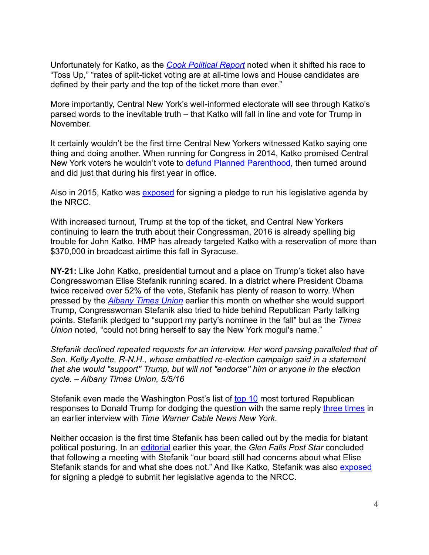Unfortunately for Katko, as the *[Cook Political Report](http://cookpolitical.com/story/9382)* noted when it shifted his race to "Toss Up," "rates of split-ticket voting are at all-time lows and House candidates are defined by their party and the top of the ticket more than ever."

More importantly, Central New York's well-informed electorate will see through Katko's parsed words to the inevitable truth – that Katko will fall in line and vote for Trump in November.

It certainly wouldn't be the first time Central New Yorkers witnessed Katko saying one thing and doing another. When running for Congress in 2014, Katko promised Central New York voters he wouldn't vote to [defund Planned Parenthood,](http://www.syracuse.com/politics/index.ssf/2015/09/house_gop_votes_to_defund_planned_parenthood_with_help_of_john_katko.html) then turned around and did just that during his first year in office.

Also in 2015, Katko was [exposed](http://www.syracuse.com/news/index.ssf/2015/09/did_katko_stefanik_need_gop_political_approval_of_legislative_plans.html) for signing a pledge to run his legislative agenda by the NRCC.

With increased turnout, Trump at the top of the ticket, and Central New Yorkers continuing to learn the truth about their Congressman, 2016 is already spelling big trouble for John Katko. HMP has already targeted Katko with a reservation of more than \$370,000 in broadcast airtime this fall in Syracuse.

**NY-21:** Like John Katko, presidential turnout and a place on Trump's ticket also have Congresswoman Elise Stefanik running scared. In a district where President Obama twice received over 52% of the vote, Stefanik has plenty of reason to worry. When pressed by the *[Albany Times Union](http://www.timesunion.com/tuplus-local/article/Elise-Stefanik-won-t-say-Donald-Trump-s-name-but-7396796.php)* earlier this month on whether she would support Trump, Congresswoman Stefanik also tried to hide behind Republican Party talking points. Stefanik pledged to "support my party's nominee in the fall" but as the *Times Union* noted, "could not bring herself to say the New York mogul's name."

*Stefanik declined repeated requests for an interview. Her word parsing paralleled that of Sen. Kelly Ayotte, R-N.H., whose embattled re-election campaign said in a statement that she would "support'' Trump, but will not "endorse'' him or anyone in the election cycle. – Albany Times Union, 5/5/16* 

Stefanik even made the Washington Post's list of [top 10](https://www.washingtonpost.com/news/the-fix/wp/2016/05/20/the-10-most-tortured-republican-responses-to-donald-trump/?postshare=6411463755562035&tid=ss_tw-bottom) most tortured Republican responses to Donald Trump for dodging the question with the same reply [three times](http://www.twcnews.com/nys/watertown/news/2016/04/11/congresswoman-stefanik-still-not-saying-which-gop-candidate-she-supports.html) in an earlier interview with *Time Warner Cable News New York*.

Neither occasion is the first time Stefanik has been called out by the media for blatant political posturing. In an [editorial](http://poststar.com/news/opinion/editorial/editorial-defining-elise-stefanik/article_0a7f7fe1-1097-5ed8-a0b7-1593f39164b7.html) earlier this year, the *Glen Falls Post Star* concluded that following a meeting with Stefanik "our board still had concerns about what Elise Stefanik stands for and what she does not." And like Katko, Stefanik was also [exposed](http://poststar.com/news/local/for-support-republican-party-requires-representatives-agendas/article_965cebf1-9c77-58f6-a4a6-af9f3a949459.html) for signing a pledge to submit her legislative agenda to the NRCC.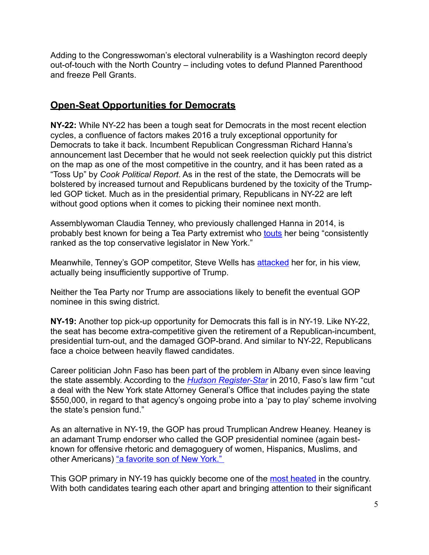Adding to the Congresswoman's electoral vulnerability is a Washington record deeply out-of-touch with the North Country – including votes to defund Planned Parenthood and freeze Pell Grants.

## **Open-Seat Opportunities for Democrats**

**NY-22:** While NY-22 has been a tough seat for Democrats in the most recent election cycles, a confluence of factors makes 2016 a truly exceptional opportunity for Democrats to take it back. Incumbent Republican Congressman Richard Hanna's announcement last December that he would not seek reelection quickly put this district on the map as one of the most competitive in the country, and it has been rated as a "Toss Up" by *Cook Political Report*. As in the rest of the state, the Democrats will be bolstered by increased turnout and Republicans burdened by the toxicity of the Trumpled GOP ticket. Much as in the presidential primary, Republicans in NY-22 are left without good options when it comes to picking their nominee next month.

Assemblywoman Claudia Tenney, who previously challenged Hanna in 2014, is probably best known for being a Tea Party extremist who [touts](http://claudiaforcongress.com/about/) her being "consistently ranked as the top conservative legislator in New York."

Meanwhile, Tenney's GOP competitor, Steve Wells has [attacked](http://webcache.googleusercontent.com/search?q=cache:JaQEFOSvCi8J:www.wellsforsecurity.com/tag/donald-trump/+&cd=2&hl=en&ct=clnk&gl=us&client=safari) her for, in his view, actually being insufficiently supportive of Trump.

Neither the Tea Party nor Trump are associations likely to benefit the eventual GOP nominee in this swing district.

**NY-19:** Another top pick-up opportunity for Democrats this fall is in NY-19. Like NY-22, the seat has become extra-competitive given the retirement of a Republican-incumbent, presidential turn-out, and the damaged GOP-brand. And similar to NY-22, Republicans face a choice between heavily flawed candidates.

Career politician John Faso has been part of the problem in Albany even since leaving the state assembly. According to the *[Hudson Register-Star](http://www.registerstar.com/news/article_c88fe125-8674-5c6d-8cf2-32c885a14b76.html)* in 2010, Faso's law firm "cut a deal with the New York state Attorney General's Office that includes paying the state \$550,000, in regard to that agency's ongoing probe into a 'pay to play' scheme involving the state's pension fund."

As an alternative in NY-19, the GOP has proud Trumplican Andrew Heaney. Heaney is an adamant Trump endorser who called the GOP presidential nominee (again bestknown for offensive rhetoric and demagoguery of women, Hispanics, Muslims, and other Americans) "a favorite son of New York."

This GOP primary in NY-19 has quickly become one of the [most heated](http://www.timesunion.com/local/article/In-NY-19-GOP-primary-letters-mdash-and-sparks-7515891.php) in the country. With both candidates tearing each other apart and bringing attention to their significant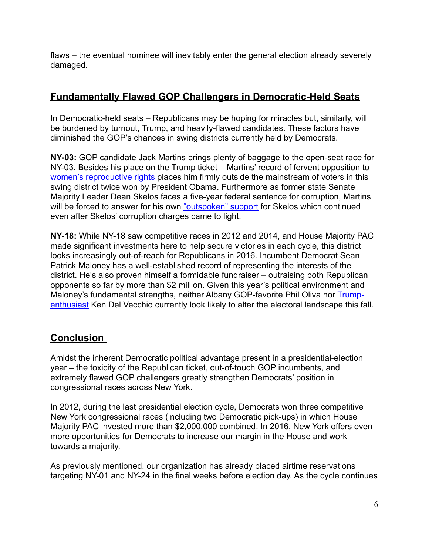flaws – the eventual nominee will inevitably enter the general election already severely damaged.

## **Fundamentally Flawed GOP Challengers in Democratic-Held Seats**

In Democratic-held seats – Republicans may be hoping for miracles but, similarly, will be burdened by turnout, Trump, and heavily-flawed candidates. These factors have diminished the GOP's chances in swing districts currently held by Democrats.

**NY-03:** GOP candidate Jack Martins brings plenty of baggage to the open-seat race for NY-03. Besides his place on the Trump ticket – Martins' record of fervent opposition to [women's reproductive rights](http://www.theislandnow.com/great_neck/news/haber-blasts-martins-on-women-s-bill/article_eca54cc2-f245-11e3-99b5-001a4bcf887a.html) places him firmly outside the mainstream of voters in this swing district twice won by President Obama. Furthermore as former state Senate Majority Leader Dean Skelos faces a five-year federal sentence for corruption, Martins will be forced to answer for his own ["outspoken" support](http://www.theislandnow.com/politics/martins-support-for-skelos-in-media-spotlight/article_4ec3c130-fa4d-11e4-9695-07c424d62f5d.html) for Skelos which continued even after Skelos' corruption charges came to light.

**NY-18:** While NY-18 saw competitive races in 2012 and 2014, and House Majority PAC made significant investments here to help secure victories in each cycle, this district looks increasingly out-of-reach for Republicans in 2016. Incumbent Democrat Sean Patrick Maloney has a well-established record of representing the interests of the district. He's also proven himself a formidable fundraiser – outraising both Republican opponents so far by more than \$2 million. Given this year's political environment and Maloney's fundamental strengths, neither Albany GOP-favorite Phil Oliva nor Trump[enthusiast Ken Del Vecchio currently look likely to alter the electoral landscape this fa](http://www.recordonline.com/article/20160415/NEWS/160419489)ll.

# **Conclusion**

Amidst the inherent Democratic political advantage present in a presidential-election year – the toxicity of the Republican ticket, out-of-touch GOP incumbents, and extremely flawed GOP challengers greatly strengthen Democrats' position in congressional races across New York.

In 2012, during the last presidential election cycle, Democrats won three competitive New York congressional races (including two Democratic pick-ups) in which House Majority PAC invested more than \$2,000,000 combined. In 2016, New York offers even more opportunities for Democrats to increase our margin in the House and work towards a majority.

As previously mentioned, our organization has already placed airtime reservations targeting NY-01 and NY-24 in the final weeks before election day. As the cycle continues